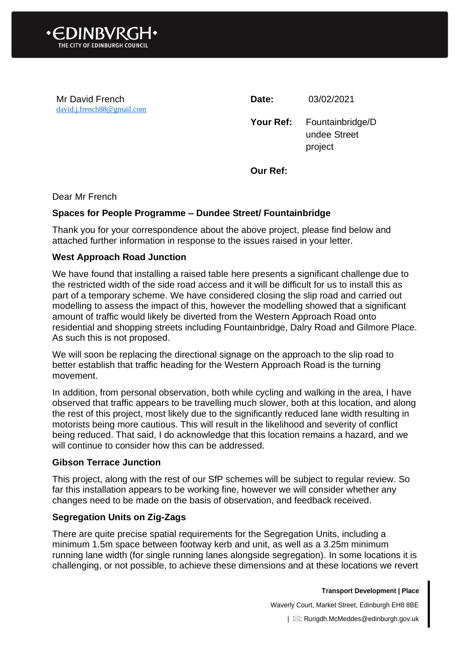

Mr David French [david.j.french88@gmail.com](mailto:david.j.french88@gmail.com) **Date:** 03/02/2021

**Your Ref:** Fountainbridge/D undee Street project

**Our Ref:**

Dear Mr French

## **Spaces for People Programme – Dundee Street/ Fountainbridge**

Thank you for your correspondence about the above project, please find below and attached further information in response to the issues raised in your letter.

## **West Approach Road Junction**

We have found that installing a raised table here presents a significant challenge due to the restricted width of the side road access and it will be difficult for us to install this as part of a temporary scheme. We have considered closing the slip road and carried out modelling to assess the impact of this, however the modelling showed that a significant amount of traffic would likely be diverted from the Western Approach Road onto residential and shopping streets including Fountainbridge, Dalry Road and Gilmore Place. As such this is not proposed.

We will soon be replacing the directional signage on the approach to the slip road to better establish that traffic heading for the Western Approach Road is the turning movement.

In addition, from personal observation, both while cycling and walking in the area, I have observed that traffic appears to be travelling much slower, both at this location, and along the rest of this project, most likely due to the significantly reduced lane width resulting in motorists being more cautious. This will result in the likelihood and severity of conflict being reduced. That said, I do acknowledge that this location remains a hazard, and we will continue to consider how this can be addressed.

#### **Gibson Terrace Junction**

This project, along with the rest of our SfP schemes will be subject to regular review. So far this installation appears to be working fine, however we will consider whether any changes need to be made on the basis of observation, and feedback received.

## **Segregation Units on Zig-Zags**

There are quite precise spatial requirements for the Segregation Units, including a minimum 1.5m space between footway kerb and unit, as well as a 3.25m minimum running lane width (for single running lanes alongside segregation). In some locations it is challenging, or not possible, to achieve these dimensions and at these locations we revert

**Transport Development | Place**

Waverly Court, Market Street, Edinburgh EH8 8BE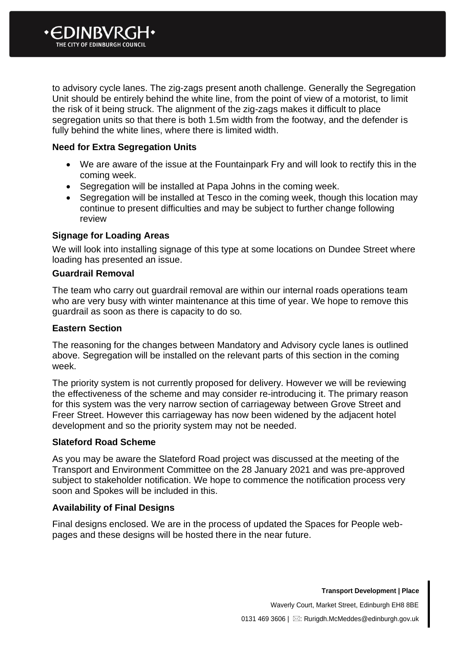

to advisory cycle lanes. The zig-zags present anoth challenge. Generally the Segregation Unit should be entirely behind the white line, from the point of view of a motorist, to limit the risk of it being struck. The alignment of the zig-zags makes it difficult to place segregation units so that there is both 1.5m width from the footway, and the defender is fully behind the white lines, where there is limited width.

# **Need for Extra Segregation Units**

- We are aware of the issue at the Fountainpark Fry and will look to rectify this in the coming week.
- Segregation will be installed at Papa Johns in the coming week.
- Segregation will be installed at Tesco in the coming week, though this location may continue to present difficulties and may be subject to further change following review

## **Signage for Loading Areas**

We will look into installing signage of this type at some locations on Dundee Street where loading has presented an issue.

#### **Guardrail Removal**

The team who carry out guardrail removal are within our internal roads operations team who are very busy with winter maintenance at this time of year. We hope to remove this guardrail as soon as there is capacity to do so.

#### **Eastern Section**

The reasoning for the changes between Mandatory and Advisory cycle lanes is outlined above. Segregation will be installed on the relevant parts of this section in the coming week.

The priority system is not currently proposed for delivery. However we will be reviewing the effectiveness of the scheme and may consider re-introducing it. The primary reason for this system was the very narrow section of carriageway between Grove Street and Freer Street. However this carriageway has now been widened by the adjacent hotel development and so the priority system may not be needed.

## **Slateford Road Scheme**

As you may be aware the Slateford Road project was discussed at the meeting of the Transport and Environment Committee on the 28 January 2021 and was pre-approved subject to stakeholder notification. We hope to commence the notification process very soon and Spokes will be included in this.

## **Availability of Final Designs**

Final designs enclosed. We are in the process of updated the Spaces for People webpages and these designs will be hosted there in the near future.